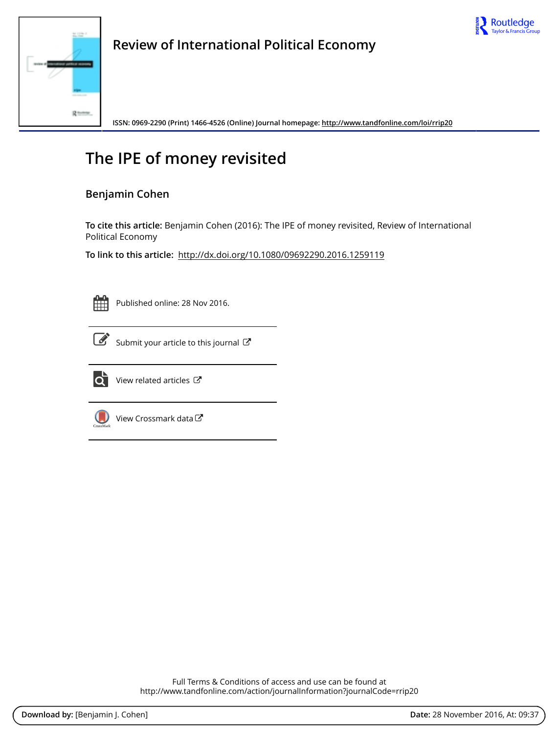



**Review of International Political Economy**

**ISSN: 0969-2290 (Print) 1466-4526 (Online) Journal homepage:<http://www.tandfonline.com/loi/rrip20>**

# **The IPE of money revisited**

# **Benjamin Cohen**

**To cite this article:** Benjamin Cohen (2016): The IPE of money revisited, Review of International Political Economy

**To link to this article:** <http://dx.doi.org/10.1080/09692290.2016.1259119>



Published online: 28 Nov 2016.



 $\overline{\mathscr{L}}$  [Submit your article to this journal](http://www.tandfonline.com/action/authorSubmission?journalCode=rrip20&show=instructions)  $\mathbb{Z}$ 



 $\overrightarrow{Q}$  [View related articles](http://www.tandfonline.com/doi/mlt/10.1080/09692290.2016.1259119)  $\overrightarrow{C}$ 



[View Crossmark data](http://crossmark.crossref.org/dialog/?doi=10.1080/09692290.2016.1259119&domain=pdf&date_stamp=2016-11-28)

Full Terms & Conditions of access and use can be found at <http://www.tandfonline.com/action/journalInformation?journalCode=rrip20>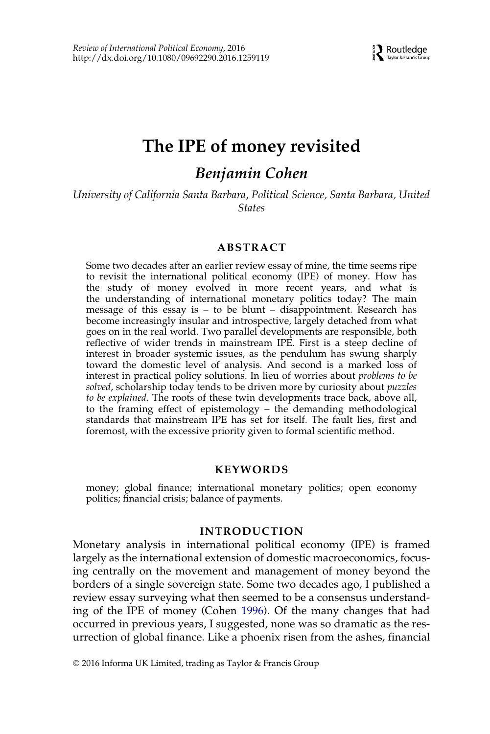# The IPE of money revisited

# Benjamin Cohen

University of California Santa Barbara, Political Science, Santa Barbara, United **States** 

#### ABSTRACT

Some two decades after an earlier review essay of mine, the time seems ripe to revisit the international political economy (IPE) of money. How has the study of money evolved in more recent years, and what is the understanding of international monetary politics today? The main message of this essay is  $-$  to be blunt  $-$  disappointment. Research has become increasingly insular and introspective, largely detached from what goes on in the real world. Two parallel developments are responsible, both reflective of wider trends in mainstream IPE. First is a steep decline of interest in broader systemic issues, as the pendulum has swung sharply toward the domestic level of analysis. And second is a marked loss of interest in practical policy solutions. In lieu of worries about problems to be solved, scholarship today tends to be driven more by curiosity about puzzles to be explained. The roots of these twin developments trace back, above all, to the framing effect of epistemology – the demanding methodological standards that mainstream IPE has set for itself. The fault lies, first and foremost, with the excessive priority given to formal scientific method.

#### KEYWORDS

money; global finance; international monetary politics; open economy politics; financial crisis; balance of payments.

### INTRODUCTION

Monetary analysis in international political economy (IPE) is framed largely as the international extension of domestic macroeconomics, focusing centrally on the movement and management of money beyond the borders of a single sovereign state. Some two decades ago, I published a review essay surveying what then seemed to be a consensus understanding of the IPE of money (Cohen [1996](#page-21-0)). Of the many changes that had occurred in previous years, I suggested, none was so dramatic as the resurrection of global finance. Like a phoenix risen from the ashes, financial

2016 Informa UK Limited, trading as Taylor & Francis Group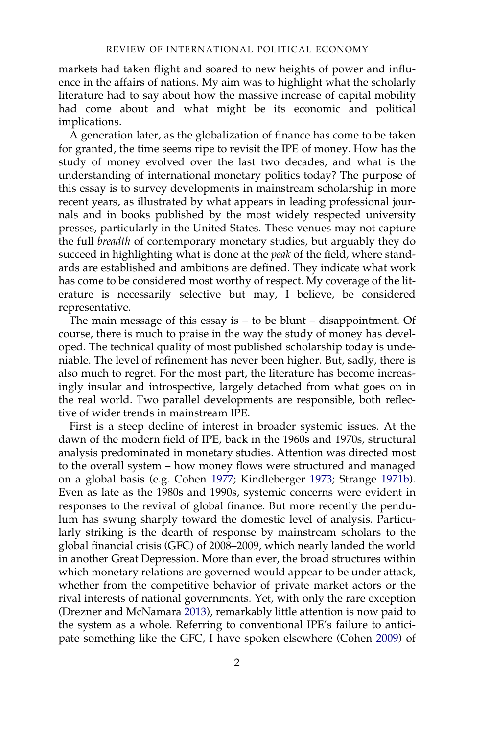markets had taken flight and soared to new heights of power and influence in the affairs of nations. My aim was to highlight what the scholarly literature had to say about how the massive increase of capital mobility had come about and what might be its economic and political implications.

A generation later, as the globalization of finance has come to be taken for granted, the time seems ripe to revisit the IPE of money. How has the study of money evolved over the last two decades, and what is the understanding of international monetary politics today? The purpose of this essay is to survey developments in mainstream scholarship in more recent years, as illustrated by what appears in leading professional journals and in books published by the most widely respected university presses, particularly in the United States. These venues may not capture the full breadth of contemporary monetary studies, but arguably they do succeed in highlighting what is done at the peak of the field, where standards are established and ambitions are defined. They indicate what work has come to be considered most worthy of respect. My coverage of the literature is necessarily selective but may, I believe, be considered representative.

The main message of this essay is  $-$  to be blunt  $-$  disappointment. Of course, there is much to praise in the way the study of money has developed. The technical quality of most published scholarship today is undeniable. The level of refinement has never been higher. But, sadly, there is also much to regret. For the most part, the literature has become increasingly insular and introspective, largely detached from what goes on in the real world. Two parallel developments are responsible, both reflective of wider trends in mainstream IPE.

First is a steep decline of interest in broader systemic issues. At the dawn of the modern field of IPE, back in the 1960s and 1970s, structural analysis predominated in monetary studies. Attention was directed most to the overall system – how money flows were structured and managed on a global basis (e.g. Cohen [1977;](#page-21-1) Kindleberger [1973;](#page-22-0) Strange [1971b\)](#page-24-0). Even as late as the 1980s and 1990s, systemic concerns were evident in responses to the revival of global finance. But more recently the pendulum has swung sharply toward the domestic level of analysis. Particularly striking is the dearth of response by mainstream scholars to the global financial crisis (GFC) of 2008–2009, which nearly landed the world in another Great Depression. More than ever, the broad structures within which monetary relations are governed would appear to be under attack, whether from the competitive behavior of private market actors or the rival interests of national governments. Yet, with only the rare exception (Drezner and McNamara [2013\)](#page-21-2), remarkably little attention is now paid to the system as a whole. Referring to conventional IPE's failure to anticipate something like the GFC, I have spoken elsewhere (Cohen [2009\)](#page-21-3) of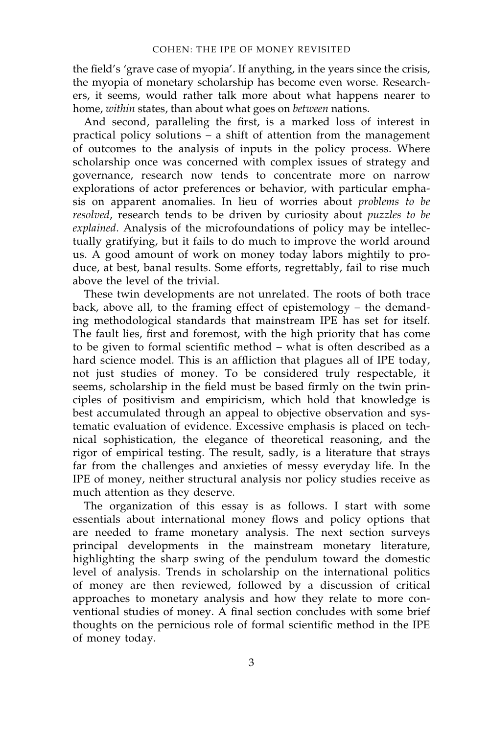the field's 'grave case of myopia'. If anything, in the years since the crisis, the myopia of monetary scholarship has become even worse. Researchers, it seems, would rather talk more about what happens nearer to home, within states, than about what goes on between nations.

And second, paralleling the first, is a marked loss of interest in practical policy solutions – a shift of attention from the management of outcomes to the analysis of inputs in the policy process. Where scholarship once was concerned with complex issues of strategy and governance, research now tends to concentrate more on narrow explorations of actor preferences or behavior, with particular emphasis on apparent anomalies. In lieu of worries about *problems to be* resolved, research tends to be driven by curiosity about puzzles to be explained. Analysis of the microfoundations of policy may be intellectually gratifying, but it fails to do much to improve the world around us. A good amount of work on money today labors mightily to produce, at best, banal results. Some efforts, regrettably, fail to rise much above the level of the trivial.

These twin developments are not unrelated. The roots of both trace back, above all, to the framing effect of epistemology – the demanding methodological standards that mainstream IPE has set for itself. The fault lies, first and foremost, with the high priority that has come to be given to formal scientific method – what is often described as a hard science model. This is an affliction that plagues all of IPE today, not just studies of money. To be considered truly respectable, it seems, scholarship in the field must be based firmly on the twin principles of positivism and empiricism, which hold that knowledge is best accumulated through an appeal to objective observation and systematic evaluation of evidence. Excessive emphasis is placed on technical sophistication, the elegance of theoretical reasoning, and the rigor of empirical testing. The result, sadly, is a literature that strays far from the challenges and anxieties of messy everyday life. In the IPE of money, neither structural analysis nor policy studies receive as much attention as they deserve.

The organization of this essay is as follows. I start with some essentials about international money flows and policy options that are needed to frame monetary analysis. The next section surveys principal developments in the mainstream monetary literature, highlighting the sharp swing of the pendulum toward the domestic level of analysis. Trends in scholarship on the international politics of money are then reviewed, followed by a discussion of critical approaches to monetary analysis and how they relate to more conventional studies of money. A final section concludes with some brief thoughts on the pernicious role of formal scientific method in the IPE of money today.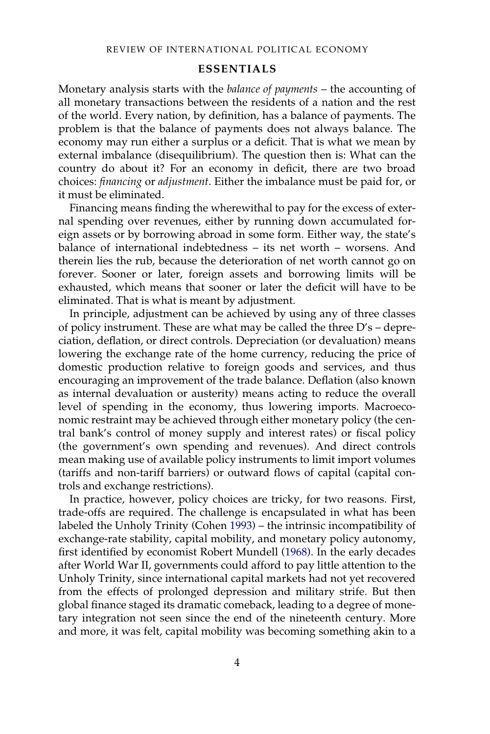#### ESSENTIALS

Monetary analysis starts with the balance of payments – the accounting of all monetary transactions between the residents of a nation and the rest of the world. Every nation, by definition, has a balance of payments. The problem is that the balance of payments does not always balance. The economy may run either a surplus or a deficit. That is what we mean by external imbalance (disequilibrium). The question then is: What can the country do about it? For an economy in deficit, there are two broad choices: financing or adjustment. Either the imbalance must be paid for, or it must be eliminated.

Financing means finding the wherewithal to pay for the excess of external spending over revenues, either by running down accumulated foreign assets or by borrowing abroad in some form. Either way, the state's balance of international indebtedness – its net worth – worsens. And therein lies the rub, because the deterioration of net worth cannot go on forever. Sooner or later, foreign assets and borrowing limits will be exhausted, which means that sooner or later the deficit will have to be eliminated. That is what is meant by adjustment.

In principle, adjustment can be achieved by using any of three classes of policy instrument. These are what may be called the three D's – depreciation, deflation, or direct controls. Depreciation (or devaluation) means lowering the exchange rate of the home currency, reducing the price of domestic production relative to foreign goods and services, and thus encouraging an improvement of the trade balance. Deflation (also known as internal devaluation or austerity) means acting to reduce the overall level of spending in the economy, thus lowering imports. Macroeconomic restraint may be achieved through either monetary policy (the central bank's control of money supply and interest rates) or fiscal policy (the government's own spending and revenues). And direct controls mean making use of available policy instruments to limit import volumes (tariffs and non-tariff barriers) or outward flows of capital (capital controls and exchange restrictions).

In practice, however, policy choices are tricky, for two reasons. First, trade-offs are required. The challenge is encapsulated in what has been labeled the Unholy Trinity (Cohen [1993\)](#page-21-4) – the intrinsic incompatibility of exchange-rate stability, capital mobility, and monetary policy autonomy, first identified by economist Robert Mundell [\(1968](#page-23-0)). In the early decades after World War II, governments could afford to pay little attention to the Unholy Trinity, since international capital markets had not yet recovered from the effects of prolonged depression and military strife. But then global finance staged its dramatic comeback, leading to a degree of monetary integration not seen since the end of the nineteenth century. More and more, it was felt, capital mobility was becoming something akin to a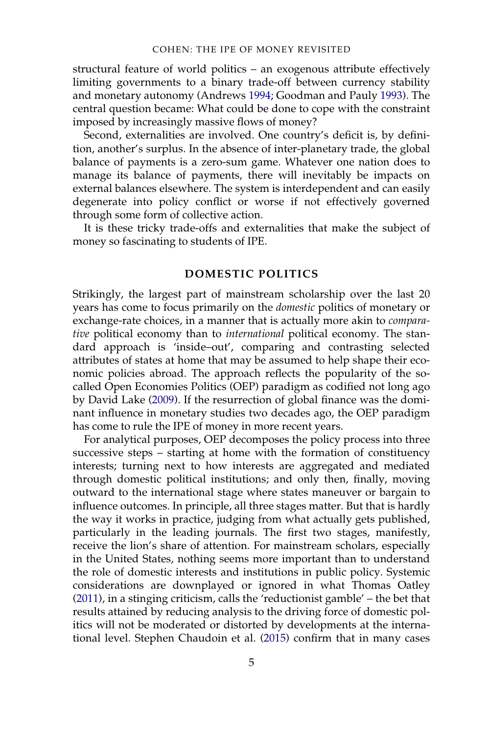structural feature of world politics – an exogenous attribute effectively limiting governments to a binary trade-off between currency stability and monetary autonomy (Andrews [1994;](#page-20-0) Goodman and Pauly [1993\)](#page-22-1). The central question became: What could be done to cope with the constraint imposed by increasingly massive flows of money?

Second, externalities are involved. One country's deficit is, by definition, another's surplus. In the absence of inter-planetary trade, the global balance of payments is a zero-sum game. Whatever one nation does to manage its balance of payments, there will inevitably be impacts on external balances elsewhere. The system is interdependent and can easily degenerate into policy conflict or worse if not effectively governed through some form of collective action.

It is these tricky trade-offs and externalities that make the subject of money so fascinating to students of IPE.

#### DOMESTIC POLITICS

Strikingly, the largest part of mainstream scholarship over the last 20 years has come to focus primarily on the domestic politics of monetary or exchange-rate choices, in a manner that is actually more akin to *compara*tive political economy than to international political economy. The standard approach is 'inside–out', comparing and contrasting selected attributes of states at home that may be assumed to help shape their economic policies abroad. The approach reflects the popularity of the socalled Open Economies Politics (OEP) paradigm as codified not long ago by David Lake [\(2009](#page-23-1)). If the resurrection of global finance was the dominant influence in monetary studies two decades ago, the OEP paradigm has come to rule the IPE of money in more recent years.

For analytical purposes, OEP decomposes the policy process into three successive steps – starting at home with the formation of constituency interests; turning next to how interests are aggregated and mediated through domestic political institutions; and only then, finally, moving outward to the international stage where states maneuver or bargain to influence outcomes. In principle, all three stages matter. But that is hardly the way it works in practice, judging from what actually gets published, particularly in the leading journals. The first two stages, manifestly, receive the lion's share of attention. For mainstream scholars, especially in the United States, nothing seems more important than to understand the role of domestic interests and institutions in public policy. Systemic considerations are downplayed or ignored in what Thomas Oatley [\(2011](#page-23-2)), in a stinging criticism, calls the 'reductionist gamble' – the bet that results attained by reducing analysis to the driving force of domestic politics will not be moderated or distorted by developments at the international level. Stephen Chaudoin et al. [\(2015](#page-21-5)) confirm that in many cases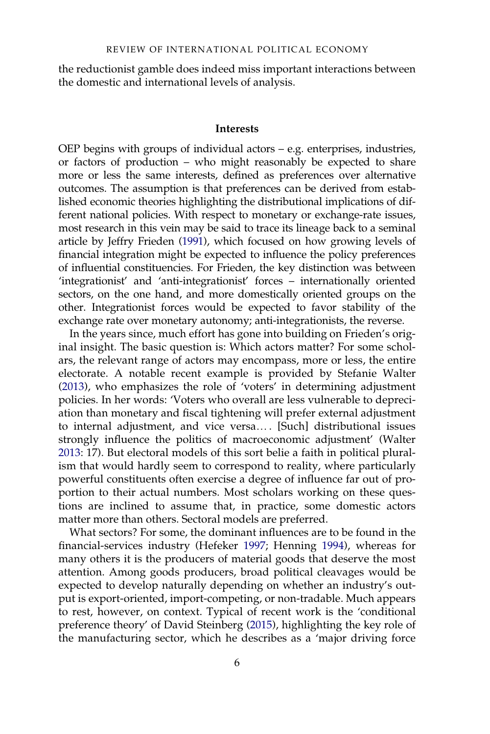the reductionist gamble does indeed miss important interactions between the domestic and international levels of analysis.

#### Interests

OEP begins with groups of individual actors – e.g. enterprises, industries, or factors of production – who might reasonably be expected to share more or less the same interests, defined as preferences over alternative outcomes. The assumption is that preferences can be derived from established economic theories highlighting the distributional implications of different national policies. With respect to monetary or exchange-rate issues, most research in this vein may be said to trace its lineage back to a seminal article by Jeffry Frieden [\(1991\)](#page-22-2), which focused on how growing levels of financial integration might be expected to influence the policy preferences of influential constituencies. For Frieden, the key distinction was between 'integrationist' and 'anti-integrationist' forces – internationally oriented sectors, on the one hand, and more domestically oriented groups on the other. Integrationist forces would be expected to favor stability of the exchange rate over monetary autonomy; anti-integrationists, the reverse.

In the years since, much effort has gone into building on Frieden's original insight. The basic question is: Which actors matter? For some scholars, the relevant range of actors may encompass, more or less, the entire electorate. A notable recent example is provided by Stefanie Walter [\(2013](#page-24-1)), who emphasizes the role of 'voters' in determining adjustment policies. In her words: 'Voters who overall are less vulnerable to depreciation than monetary and fiscal tightening will prefer external adjustment to internal adjustment, and vice versa… . [Such] distributional issues strongly influence the politics of macroeconomic adjustment' (Walter [2013:](#page-24-1) 17). But electoral models of this sort belie a faith in political pluralism that would hardly seem to correspond to reality, where particularly powerful constituents often exercise a degree of influence far out of proportion to their actual numbers. Most scholars working on these questions are inclined to assume that, in practice, some domestic actors matter more than others. Sectoral models are preferred.

What sectors? For some, the dominant influences are to be found in the financial-services industry (Hefeker [1997;](#page-22-3) Henning [1994\)](#page-22-4), whereas for many others it is the producers of material goods that deserve the most attention. Among goods producers, broad political cleavages would be expected to develop naturally depending on whether an industry's output is export-oriented, import-competing, or non-tradable. Much appears to rest, however, on context. Typical of recent work is the 'conditional preference theory' of David Steinberg ([2015\)](#page-24-2), highlighting the key role of the manufacturing sector, which he describes as a 'major driving force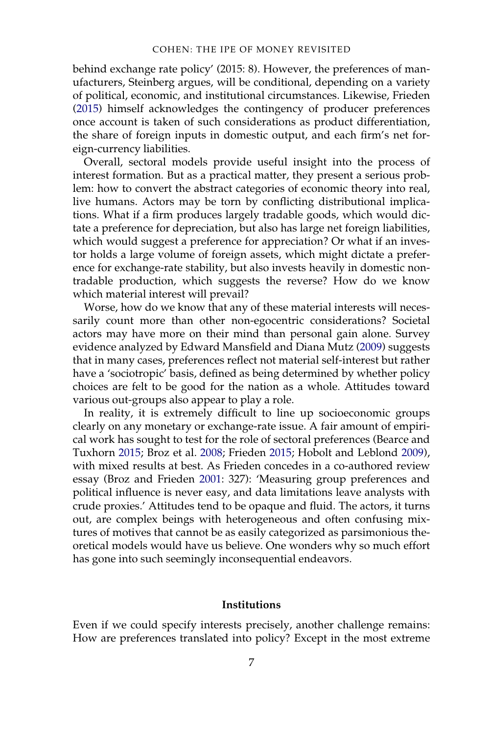behind exchange rate policy' (2015: 8). However, the preferences of manufacturers, Steinberg argues, will be conditional, depending on a variety of political, economic, and institutional circumstances. Likewise, Frieden [\(2015](#page-22-5)) himself acknowledges the contingency of producer preferences once account is taken of such considerations as product differentiation, the share of foreign inputs in domestic output, and each firm's net foreign-currency liabilities.

Overall, sectoral models provide useful insight into the process of interest formation. But as a practical matter, they present a serious problem: how to convert the abstract categories of economic theory into real, live humans. Actors may be torn by conflicting distributional implications. What if a firm produces largely tradable goods, which would dictate a preference for depreciation, but also has large net foreign liabilities, which would suggest a preference for appreciation? Or what if an investor holds a large volume of foreign assets, which might dictate a preference for exchange-rate stability, but also invests heavily in domestic nontradable production, which suggests the reverse? How do we know which material interest will prevail?

Worse, how do we know that any of these material interests will necessarily count more than other non-egocentric considerations? Societal actors may have more on their mind than personal gain alone. Survey evidence analyzed by Edward Mansfield and Diana Mutz [\(2009](#page-23-3)) suggests that in many cases, preferences reflect not material self-interest but rather have a 'sociotropic' basis, defined as being determined by whether policy choices are felt to be good for the nation as a whole. Attitudes toward various out-groups also appear to play a role.

In reality, it is extremely difficult to line up socioeconomic groups clearly on any monetary or exchange-rate issue. A fair amount of empirical work has sought to test for the role of sectoral preferences (Bearce and Tuxhorn [2015](#page-20-1); Broz et al. [2008;](#page-21-6) Frieden [2015](#page-22-5); Hobolt and Leblond [2009\)](#page-22-6), with mixed results at best. As Frieden concedes in a co-authored review essay (Broz and Frieden [2001](#page-21-7): 327): 'Measuring group preferences and political influence is never easy, and data limitations leave analysts with crude proxies.' Attitudes tend to be opaque and fluid. The actors, it turns out, are complex beings with heterogeneous and often confusing mixtures of motives that cannot be as easily categorized as parsimonious theoretical models would have us believe. One wonders why so much effort has gone into such seemingly inconsequential endeavors.

#### **Institutions**

Even if we could specify interests precisely, another challenge remains: How are preferences translated into policy? Except in the most extreme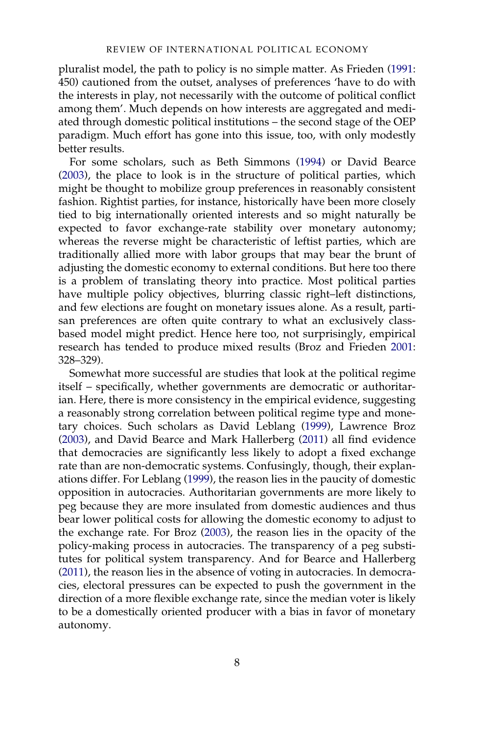pluralist model, the path to policy is no simple matter. As Frieden [\(1991](#page-22-2): 450) cautioned from the outset, analyses of preferences 'have to do with the interests in play, not necessarily with the outcome of political conflict among them'. Much depends on how interests are aggregated and mediated through domestic political institutions – the second stage of the OEP paradigm. Much effort has gone into this issue, too, with only modestly better results.

For some scholars, such as Beth Simmons ([1994\)](#page-23-4) or David Bearce [\(2003](#page-20-2)), the place to look is in the structure of political parties, which might be thought to mobilize group preferences in reasonably consistent fashion. Rightist parties, for instance, historically have been more closely tied to big internationally oriented interests and so might naturally be expected to favor exchange-rate stability over monetary autonomy; whereas the reverse might be characteristic of leftist parties, which are traditionally allied more with labor groups that may bear the brunt of adjusting the domestic economy to external conditions. But here too there is a problem of translating theory into practice. Most political parties have multiple policy objectives, blurring classic right–left distinctions, and few elections are fought on monetary issues alone. As a result, partisan preferences are often quite contrary to what an exclusively classbased model might predict. Hence here too, not surprisingly, empirical research has tended to produce mixed results (Broz and Frieden [2001](#page-21-7): 328–329).

Somewhat more successful are studies that look at the political regime itself – specifically, whether governments are democratic or authoritarian. Here, there is more consistency in the empirical evidence, suggesting a reasonably strong correlation between political regime type and monetary choices. Such scholars as David Leblang [\(1999](#page-23-5)), Lawrence Broz [\(2003](#page-21-8)), and David Bearce and Mark Hallerberg [\(2011](#page-20-3)) all find evidence that democracies are significantly less likely to adopt a fixed exchange rate than are non-democratic systems. Confusingly, though, their explanations differ. For Leblang [\(1999](#page-23-5)), the reason lies in the paucity of domestic opposition in autocracies. Authoritarian governments are more likely to peg because they are more insulated from domestic audiences and thus bear lower political costs for allowing the domestic economy to adjust to the exchange rate. For Broz ([2003\)](#page-21-8), the reason lies in the opacity of the policy-making process in autocracies. The transparency of a peg substitutes for political system transparency. And for Bearce and Hallerberg [\(2011](#page-20-3)), the reason lies in the absence of voting in autocracies. In democracies, electoral pressures can be expected to push the government in the direction of a more flexible exchange rate, since the median voter is likely to be a domestically oriented producer with a bias in favor of monetary autonomy.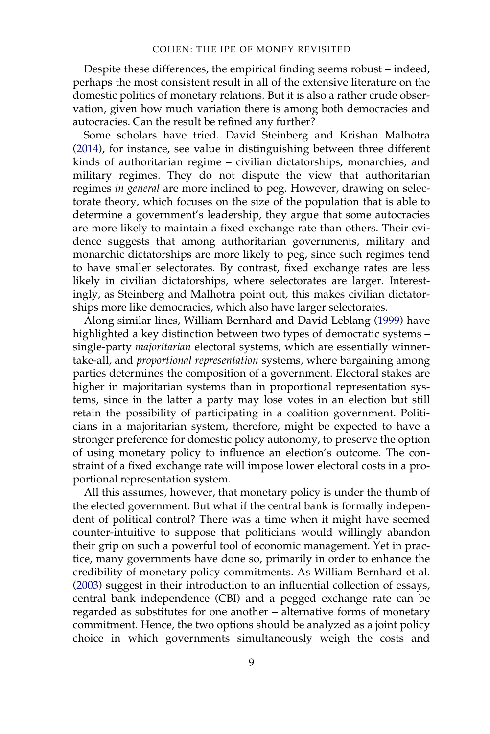Despite these differences, the empirical finding seems robust – indeed, perhaps the most consistent result in all of the extensive literature on the domestic politics of monetary relations. But it is also a rather crude observation, given how much variation there is among both democracies and autocracies. Can the result be refined any further?

Some scholars have tried. David Steinberg and Krishan Malhotra [\(2014](#page-24-3)), for instance, see value in distinguishing between three different kinds of authoritarian regime – civilian dictatorships, monarchies, and military regimes. They do not dispute the view that authoritarian regimes in general are more inclined to peg. However, drawing on selectorate theory, which focuses on the size of the population that is able to determine a government's leadership, they argue that some autocracies are more likely to maintain a fixed exchange rate than others. Their evidence suggests that among authoritarian governments, military and monarchic dictatorships are more likely to peg, since such regimes tend to have smaller selectorates. By contrast, fixed exchange rates are less likely in civilian dictatorships, where selectorates are larger. Interestingly, as Steinberg and Malhotra point out, this makes civilian dictatorships more like democracies, which also have larger selectorates.

Along similar lines, William Bernhard and David Leblang [\(1999](#page-20-4)) have highlighted a key distinction between two types of democratic systems – single-party majoritarian electoral systems, which are essentially winnertake-all, and proportional representation systems, where bargaining among parties determines the composition of a government. Electoral stakes are higher in majoritarian systems than in proportional representation systems, since in the latter a party may lose votes in an election but still retain the possibility of participating in a coalition government. Politicians in a majoritarian system, therefore, might be expected to have a stronger preference for domestic policy autonomy, to preserve the option of using monetary policy to influence an election's outcome. The constraint of a fixed exchange rate will impose lower electoral costs in a proportional representation system.

All this assumes, however, that monetary policy is under the thumb of the elected government. But what if the central bank is formally independent of political control? There was a time when it might have seemed counter-intuitive to suppose that politicians would willingly abandon their grip on such a powerful tool of economic management. Yet in practice, many governments have done so, primarily in order to enhance the credibility of monetary policy commitments. As William Bernhard et al. [\(2003](#page-20-5)) suggest in their introduction to an influential collection of essays, central bank independence (CBI) and a pegged exchange rate can be regarded as substitutes for one another – alternative forms of monetary commitment. Hence, the two options should be analyzed as a joint policy choice in which governments simultaneously weigh the costs and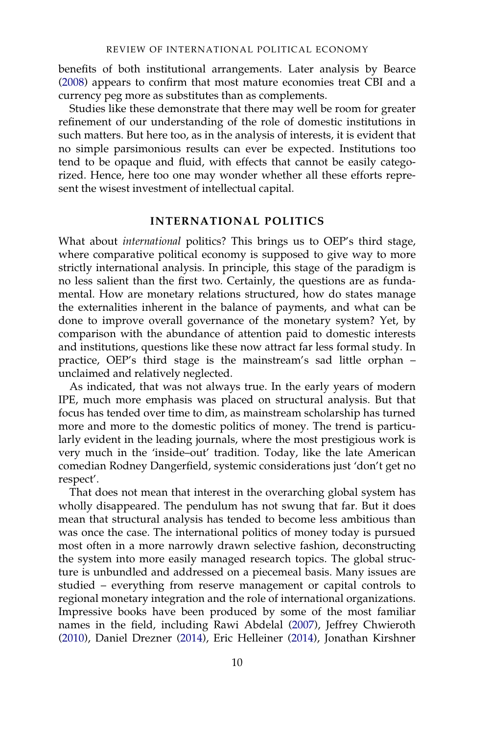benefits of both institutional arrangements. Later analysis by Bearce [\(2008](#page-20-6)) appears to confirm that most mature economies treat CBI and a currency peg more as substitutes than as complements.

Studies like these demonstrate that there may well be room for greater refinement of our understanding of the role of domestic institutions in such matters. But here too, as in the analysis of interests, it is evident that no simple parsimonious results can ever be expected. Institutions too tend to be opaque and fluid, with effects that cannot be easily categorized. Hence, here too one may wonder whether all these efforts represent the wisest investment of intellectual capital.

#### INTERNATIONAL POLITICS

What about *international* politics? This brings us to OEP's third stage, where comparative political economy is supposed to give way to more strictly international analysis. In principle, this stage of the paradigm is no less salient than the first two. Certainly, the questions are as fundamental. How are monetary relations structured, how do states manage the externalities inherent in the balance of payments, and what can be done to improve overall governance of the monetary system? Yet, by comparison with the abundance of attention paid to domestic interests and institutions, questions like these now attract far less formal study. In practice, OEP's third stage is the mainstream's sad little orphan – unclaimed and relatively neglected.

As indicated, that was not always true. In the early years of modern IPE, much more emphasis was placed on structural analysis. But that focus has tended over time to dim, as mainstream scholarship has turned more and more to the domestic politics of money. The trend is particularly evident in the leading journals, where the most prestigious work is very much in the 'inside–out' tradition. Today, like the late American comedian Rodney Dangerfield, systemic considerations just 'don't get no respect'.

That does not mean that interest in the overarching global system has wholly disappeared. The pendulum has not swung that far. But it does mean that structural analysis has tended to become less ambitious than was once the case. The international politics of money today is pursued most often in a more narrowly drawn selective fashion, deconstructing the system into more easily managed research topics. The global structure is unbundled and addressed on a piecemeal basis. Many issues are studied – everything from reserve management or capital controls to regional monetary integration and the role of international organizations. Impressive books have been produced by some of the most familiar names in the field, including Rawi Abdelal ([2007\)](#page-20-7), Jeffrey Chwieroth [\(2010](#page-21-9)), Daniel Drezner ([2014\)](#page-21-10), Eric Helleiner [\(2014](#page-22-7)), Jonathan Kirshner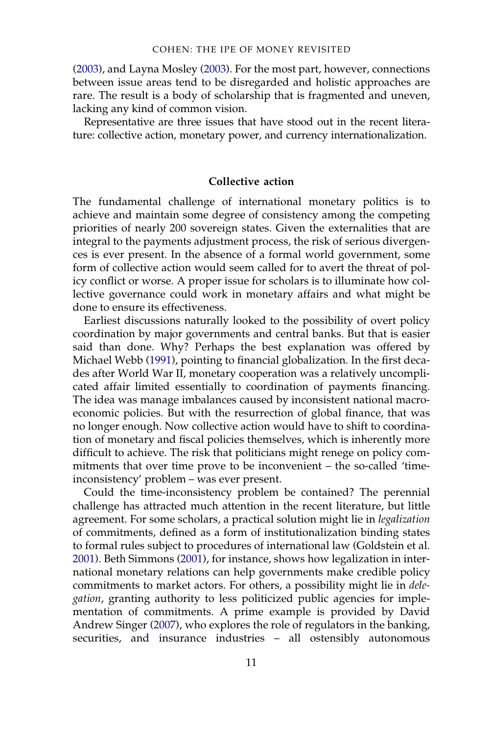[\(2003](#page-22-8)), and Layna Mosley [\(2003](#page-23-6)). For the most part, however, connections between issue areas tend to be disregarded and holistic approaches are rare. The result is a body of scholarship that is fragmented and uneven, lacking any kind of common vision.

Representative are three issues that have stood out in the recent literature: collective action, monetary power, and currency internationalization.

#### Collective action

The fundamental challenge of international monetary politics is to achieve and maintain some degree of consistency among the competing priorities of nearly 200 sovereign states. Given the externalities that are integral to the payments adjustment process, the risk of serious divergences is ever present. In the absence of a formal world government, some form of collective action would seem called for to avert the threat of policy conflict or worse. A proper issue for scholars is to illuminate how collective governance could work in monetary affairs and what might be done to ensure its effectiveness.

Earliest discussions naturally looked to the possibility of overt policy coordination by major governments and central banks. But that is easier said than done. Why? Perhaps the best explanation was offered by Michael Webb [\(1991\)](#page-24-4), pointing to financial globalization. In the first decades after World War II, monetary cooperation was a relatively uncomplicated affair limited essentially to coordination of payments financing. The idea was manage imbalances caused by inconsistent national macroeconomic policies. But with the resurrection of global finance, that was no longer enough. Now collective action would have to shift to coordination of monetary and fiscal policies themselves, which is inherently more difficult to achieve. The risk that politicians might renege on policy commitments that over time prove to be inconvenient – the so-called 'timeinconsistency' problem – was ever present.

Could the time-inconsistency problem be contained? The perennial challenge has attracted much attention in the recent literature, but little agreement. For some scholars, a practical solution might lie in legalization of commitments, defined as a form of institutionalization binding states to formal rules subject to procedures of international law (Goldstein et al. [2001\)](#page-22-9). Beth Simmons [\(2001](#page-23-7)), for instance, shows how legalization in international monetary relations can help governments make credible policy commitments to market actors. For others, a possibility might lie in delegation, granting authority to less politicized public agencies for implementation of commitments. A prime example is provided by David Andrew Singer ([2007\)](#page-24-5), who explores the role of regulators in the banking, securities, and insurance industries – all ostensibly autonomous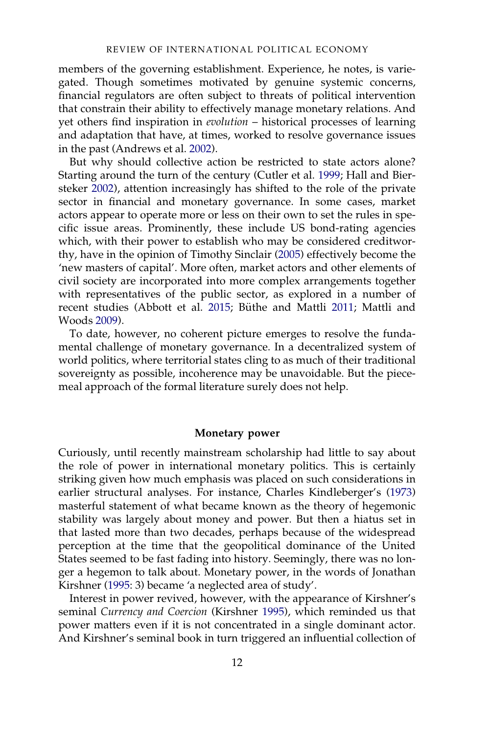members of the governing establishment. Experience, he notes, is variegated. Though sometimes motivated by genuine systemic concerns, financial regulators are often subject to threats of political intervention that constrain their ability to effectively manage monetary relations. And yet others find inspiration in *evolution* – historical processes of learning and adaptation that have, at times, worked to resolve governance issues in the past (Andrews et al. [2002\)](#page-20-8).

But why should collective action be restricted to state actors alone? Starting around the turn of the century (Cutler et al. [1999](#page-21-11); Hall and Biersteker [2002\)](#page-22-10), attention increasingly has shifted to the role of the private sector in financial and monetary governance. In some cases, market actors appear to operate more or less on their own to set the rules in specific issue areas. Prominently, these include US bond-rating agencies which, with their power to establish who may be considered creditworthy, have in the opinion of Timothy Sinclair [\(2005](#page-23-8)) effectively become the 'new masters of capital'. More often, market actors and other elements of civil society are incorporated into more complex arrangements together with representatives of the public sector, as explored in a number of recent studies (Abbott et al. [2015](#page-20-9); Büthe and Mattli [2011;](#page-21-12) Mattli and Woods [2009](#page-23-9)).

To date, however, no coherent picture emerges to resolve the fundamental challenge of monetary governance. In a decentralized system of world politics, where territorial states cling to as much of their traditional sovereignty as possible, incoherence may be unavoidable. But the piecemeal approach of the formal literature surely does not help.

#### Monetary power

Curiously, until recently mainstream scholarship had little to say about the role of power in international monetary politics. This is certainly striking given how much emphasis was placed on such considerations in earlier structural analyses. For instance, Charles Kindleberger's [\(1973](#page-22-0)) masterful statement of what became known as the theory of hegemonic stability was largely about money and power. But then a hiatus set in that lasted more than two decades, perhaps because of the widespread perception at the time that the geopolitical dominance of the United States seemed to be fast fading into history. Seemingly, there was no longer a hegemon to talk about. Monetary power, in the words of Jonathan Kirshner [\(1995](#page-22-11): 3) became 'a neglected area of study'.

Interest in power revived, however, with the appearance of Kirshner's seminal Currency and Coercion (Kirshner [1995\)](#page-22-11), which reminded us that power matters even if it is not concentrated in a single dominant actor. And Kirshner's seminal book in turn triggered an influential collection of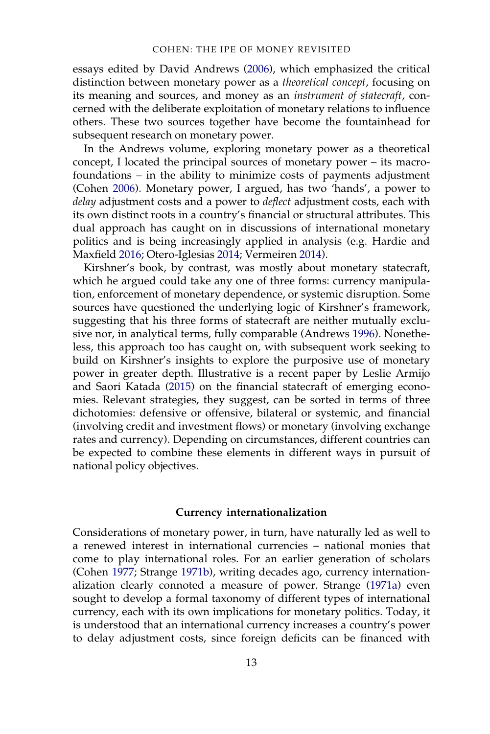essays edited by David Andrews [\(2006](#page-20-10)), which emphasized the critical distinction between monetary power as a theoretical concept, focusing on its meaning and sources, and money as an instrument of statecraft, concerned with the deliberate exploitation of monetary relations to influence others. These two sources together have become the fountainhead for subsequent research on monetary power.

In the Andrews volume, exploring monetary power as a theoretical concept, I located the principal sources of monetary power – its macrofoundations – in the ability to minimize costs of payments adjustment (Cohen [2006\)](#page-21-13). Monetary power, I argued, has two 'hands', a power to delay adjustment costs and a power to deflect adjustment costs, each with its own distinct roots in a country's financial or structural attributes. This dual approach has caught on in discussions of international monetary politics and is being increasingly applied in analysis (e.g. Hardie and Maxfield [2016;](#page-22-12) Otero-Iglesias [2014](#page-23-10); Vermeiren [2014\)](#page-24-6).

Kirshner's book, by contrast, was mostly about monetary statecraft, which he argued could take any one of three forms: currency manipulation, enforcement of monetary dependence, or systemic disruption. Some sources have questioned the underlying logic of Kirshner's framework, suggesting that his three forms of statecraft are neither mutually exclusive nor, in analytical terms, fully comparable (Andrews [1996\)](#page-20-11). Nonetheless, this approach too has caught on, with subsequent work seeking to build on Kirshner's insights to explore the purposive use of monetary power in greater depth. Illustrative is a recent paper by Leslie Armijo and Saori Katada ([2015\)](#page-20-12) on the financial statecraft of emerging economies. Relevant strategies, they suggest, can be sorted in terms of three dichotomies: defensive or offensive, bilateral or systemic, and financial (involving credit and investment flows) or monetary (involving exchange rates and currency). Depending on circumstances, different countries can be expected to combine these elements in different ways in pursuit of national policy objectives.

#### Currency internationalization

Considerations of monetary power, in turn, have naturally led as well to a renewed interest in international currencies – national monies that come to play international roles. For an earlier generation of scholars (Cohen [1977](#page-21-1); Strange [1971b\)](#page-24-0), writing decades ago, currency internationalization clearly connoted a measure of power. Strange [\(1971a](#page-24-7)) even sought to develop a formal taxonomy of different types of international currency, each with its own implications for monetary politics. Today, it is understood that an international currency increases a country's power to delay adjustment costs, since foreign deficits can be financed with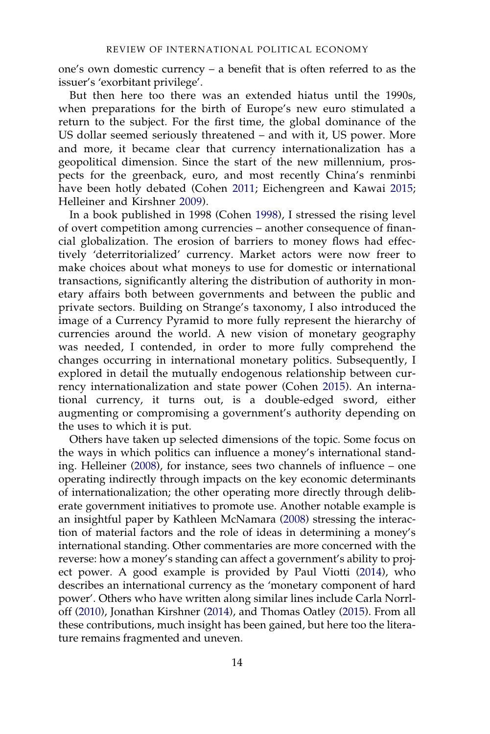one's own domestic currency – a benefit that is often referred to as the issuer's 'exorbitant privilege'.

But then here too there was an extended hiatus until the 1990s, when preparations for the birth of Europe's new euro stimulated a return to the subject. For the first time, the global dominance of the US dollar seemed seriously threatened – and with it, US power. More and more, it became clear that currency internationalization has a geopolitical dimension. Since the start of the new millennium, prospects for the greenback, euro, and most recently China's renminbi have been hotly debated (Cohen [2011](#page-21-14); Eichengreen and Kawai [2015](#page-21-15); Helleiner and Kirshner [2009\)](#page-22-13).

In a book published in 1998 (Cohen [1998](#page-21-16)), I stressed the rising level of overt competition among currencies – another consequence of financial globalization. The erosion of barriers to money flows had effectively 'deterritorialized' currency. Market actors were now freer to make choices about what moneys to use for domestic or international transactions, significantly altering the distribution of authority in monetary affairs both between governments and between the public and private sectors. Building on Strange's taxonomy, I also introduced the image of a Currency Pyramid to more fully represent the hierarchy of currencies around the world. A new vision of monetary geography was needed, I contended, in order to more fully comprehend the changes occurring in international monetary politics. Subsequently, I explored in detail the mutually endogenous relationship between currency internationalization and state power (Cohen [2015\)](#page-21-17). An international currency, it turns out, is a double-edged sword, either augmenting or compromising a government's authority depending on the uses to which it is put.

Others have taken up selected dimensions of the topic. Some focus on the ways in which politics can influence a money's international standing. Helleiner [\(2008](#page-22-14)), for instance, sees two channels of influence – one operating indirectly through impacts on the key economic determinants of internationalization; the other operating more directly through deliberate government initiatives to promote use. Another notable example is an insightful paper by Kathleen McNamara ([2008\)](#page-23-11) stressing the interaction of material factors and the role of ideas in determining a money's international standing. Other commentaries are more concerned with the reverse: how a money's standing can affect a government's ability to project power. A good example is provided by Paul Viotti ([2014\)](#page-24-8), who describes an international currency as the 'monetary component of hard power'. Others who have written along similar lines include Carla Norrloff [\(2010](#page-23-12)), Jonathan Kirshner [\(2014](#page-22-15)), and Thomas Oatley [\(2015](#page-23-13)). From all these contributions, much insight has been gained, but here too the literature remains fragmented and uneven.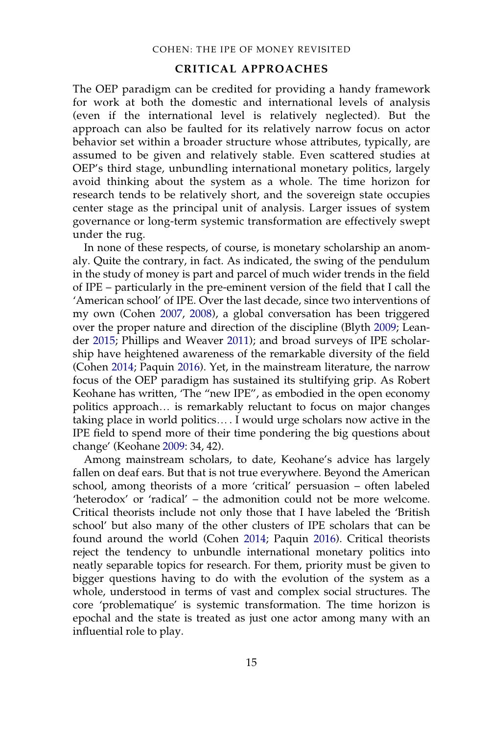#### CRITICAL APPROACHES

The OEP paradigm can be credited for providing a handy framework for work at both the domestic and international levels of analysis (even if the international level is relatively neglected). But the approach can also be faulted for its relatively narrow focus on actor behavior set within a broader structure whose attributes, typically, are assumed to be given and relatively stable. Even scattered studies at OEP's third stage, unbundling international monetary politics, largely avoid thinking about the system as a whole. The time horizon for research tends to be relatively short, and the sovereign state occupies center stage as the principal unit of analysis. Larger issues of system governance or long-term systemic transformation are effectively swept under the rug.

In none of these respects, of course, is monetary scholarship an anomaly. Quite the contrary, in fact. As indicated, the swing of the pendulum in the study of money is part and parcel of much wider trends in the field of IPE – particularly in the pre-eminent version of the field that I call the 'American school' of IPE. Over the last decade, since two interventions of my own (Cohen [2007,](#page-21-18) [2008](#page-21-19)), a global conversation has been triggered over the proper nature and direction of the discipline (Blyth [2009;](#page-20-13) Leander [2015](#page-23-14); Phillips and Weaver [2011](#page-23-15)); and broad surveys of IPE scholarship have heightened awareness of the remarkable diversity of the field (Cohen [2014;](#page-21-20) Paquin [2016\)](#page-23-16). Yet, in the mainstream literature, the narrow focus of the OEP paradigm has sustained its stultifying grip. As Robert Keohane has written, 'The "new IPE", as embodied in the open economy politics approach… is remarkably reluctant to focus on major changes taking place in world politics… . I would urge scholars now active in the IPE field to spend more of their time pondering the big questions about change' (Keohane [2009:](#page-22-16) 34, 42).

Among mainstream scholars, to date, Keohane's advice has largely fallen on deaf ears. But that is not true everywhere. Beyond the American school, among theorists of a more 'critical' persuasion – often labeled 'heterodox' or 'radical' – the admonition could not be more welcome. Critical theorists include not only those that I have labeled the 'British school' but also many of the other clusters of IPE scholars that can be found around the world (Cohen [2014](#page-21-20); Paquin [2016](#page-23-16)). Critical theorists reject the tendency to unbundle international monetary politics into neatly separable topics for research. For them, priority must be given to bigger questions having to do with the evolution of the system as a whole, understood in terms of vast and complex social structures. The core 'problematique' is systemic transformation. The time horizon is epochal and the state is treated as just one actor among many with an influential role to play.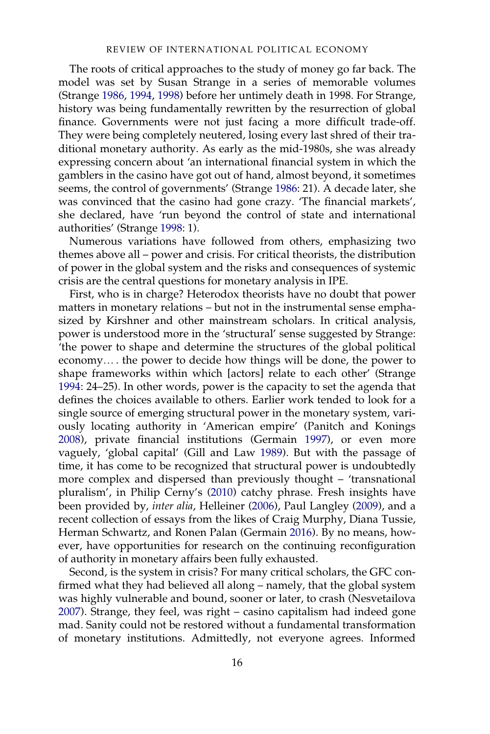The roots of critical approaches to the study of money go far back. The model was set by Susan Strange in a series of memorable volumes (Strange [1986](#page-24-9), [1994](#page-24-10), [1998](#page-24-11)) before her untimely death in 1998. For Strange, history was being fundamentally rewritten by the resurrection of global finance. Governments were not just facing a more difficult trade-off. They were being completely neutered, losing every last shred of their traditional monetary authority. As early as the mid-1980s, she was already expressing concern about 'an international financial system in which the gamblers in the casino have got out of hand, almost beyond, it sometimes seems, the control of governments' (Strange [1986](#page-24-9): 21). A decade later, she was convinced that the casino had gone crazy. 'The financial markets', she declared, have 'run beyond the control of state and international authorities' (Strange [1998:](#page-24-11) 1).

Numerous variations have followed from others, emphasizing two themes above all – power and crisis. For critical theorists, the distribution of power in the global system and the risks and consequences of systemic crisis are the central questions for monetary analysis in IPE.

First, who is in charge? Heterodox theorists have no doubt that power matters in monetary relations – but not in the instrumental sense emphasized by Kirshner and other mainstream scholars. In critical analysis, power is understood more in the 'structural' sense suggested by Strange: 'the power to shape and determine the structures of the global political economy… . the power to decide how things will be done, the power to shape frameworks within which [actors] relate to each other' (Strange [1994:](#page-24-10) 24–25). In other words, power is the capacity to set the agenda that defines the choices available to others. Earlier work tended to look for a single source of emerging structural power in the monetary system, variously locating authority in 'American empire' (Panitch and Konings [2008\)](#page-23-17), private financial institutions (Germain [1997](#page-22-17)), or even more vaguely, 'global capital' (Gill and Law [1989](#page-22-18)). But with the passage of time, it has come to be recognized that structural power is undoubtedly more complex and dispersed than previously thought – 'transnational pluralism', in Philip Cerny's [\(2010](#page-21-21)) catchy phrase. Fresh insights have been provided by, inter alia, Helleiner ([2006\)](#page-22-19), Paul Langley ([2009\)](#page-23-18), and a recent collection of essays from the likes of Craig Murphy, Diana Tussie, Herman Schwartz, and Ronen Palan (Germain [2016\)](#page-22-20). By no means, however, have opportunities for research on the continuing reconfiguration of authority in monetary affairs been fully exhausted.

Second, is the system in crisis? For many critical scholars, the GFC confirmed what they had believed all along – namely, that the global system was highly vulnerable and bound, sooner or later, to crash (Nesvetailova [2007\)](#page-23-19). Strange, they feel, was right – casino capitalism had indeed gone mad. Sanity could not be restored without a fundamental transformation of monetary institutions. Admittedly, not everyone agrees. Informed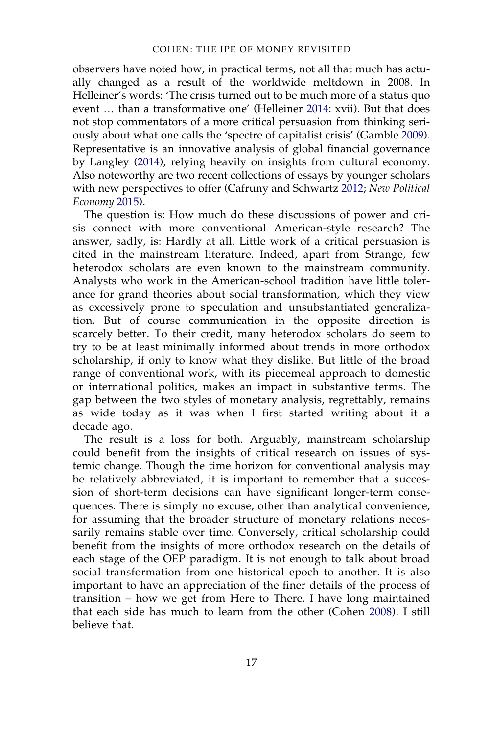observers have noted how, in practical terms, not all that much has actually changed as a result of the worldwide meltdown in 2008. In Helleiner's words: 'The crisis turned out to be much more of a status quo event … than a transformative one' (Helleiner [2014:](#page-22-7) xvii). But that does not stop commentators of a more critical persuasion from thinking seriously about what one calls the 'spectre of capitalist crisis' (Gamble [2009\)](#page-22-21). Representative is an innovative analysis of global financial governance by Langley [\(2014](#page-23-20)), relying heavily on insights from cultural economy. Also noteworthy are two recent collections of essays by younger scholars with new perspectives to offer (Cafruny and Schwartz [2012](#page-21-22); New Political Economy [2015\)](#page-23-21).

The question is: How much do these discussions of power and crisis connect with more conventional American-style research? The answer, sadly, is: Hardly at all. Little work of a critical persuasion is cited in the mainstream literature. Indeed, apart from Strange, few heterodox scholars are even known to the mainstream community. Analysts who work in the American-school tradition have little tolerance for grand theories about social transformation, which they view as excessively prone to speculation and unsubstantiated generalization. But of course communication in the opposite direction is scarcely better. To their credit, many heterodox scholars do seem to try to be at least minimally informed about trends in more orthodox scholarship, if only to know what they dislike. But little of the broad range of conventional work, with its piecemeal approach to domestic or international politics, makes an impact in substantive terms. The gap between the two styles of monetary analysis, regrettably, remains as wide today as it was when I first started writing about it a decade ago.

The result is a loss for both. Arguably, mainstream scholarship could benefit from the insights of critical research on issues of systemic change. Though the time horizon for conventional analysis may be relatively abbreviated, it is important to remember that a succession of short-term decisions can have significant longer-term consequences. There is simply no excuse, other than analytical convenience, for assuming that the broader structure of monetary relations necessarily remains stable over time. Conversely, critical scholarship could benefit from the insights of more orthodox research on the details of each stage of the OEP paradigm. It is not enough to talk about broad social transformation from one historical epoch to another. It is also important to have an appreciation of the finer details of the process of transition – how we get from Here to There. I have long maintained that each side has much to learn from the other (Cohen [2008](#page-21-19)). I still believe that.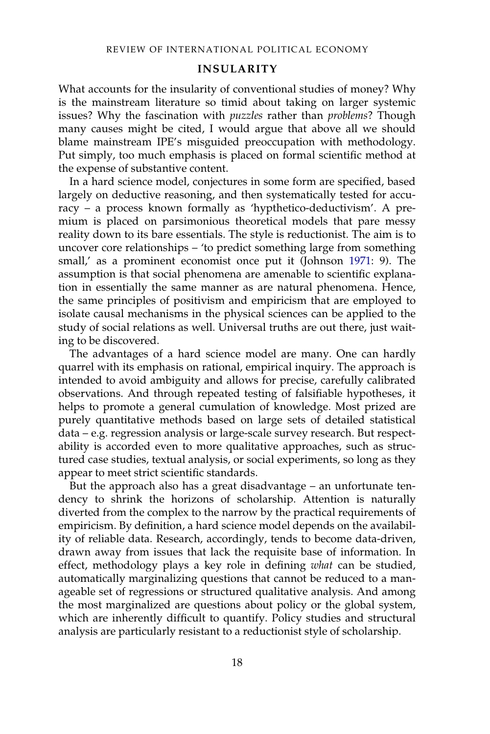#### INSULARITY

What accounts for the insularity of conventional studies of money? Why is the mainstream literature so timid about taking on larger systemic issues? Why the fascination with *puzzles* rather than *problems*? Though many causes might be cited, I would argue that above all we should blame mainstream IPE's misguided preoccupation with methodology. Put simply, too much emphasis is placed on formal scientific method at the expense of substantive content.

In a hard science model, conjectures in some form are specified, based largely on deductive reasoning, and then systematically tested for accuracy – a process known formally as 'hypthetico-deductivism'. A premium is placed on parsimonious theoretical models that pare messy reality down to its bare essentials. The style is reductionist. The aim is to uncover core relationships – 'to predict something large from something small,' as a prominent economist once put it (Johnson [1971](#page-22-22): 9). The assumption is that social phenomena are amenable to scientific explanation in essentially the same manner as are natural phenomena. Hence, the same principles of positivism and empiricism that are employed to isolate causal mechanisms in the physical sciences can be applied to the study of social relations as well. Universal truths are out there, just waiting to be discovered.

The advantages of a hard science model are many. One can hardly quarrel with its emphasis on rational, empirical inquiry. The approach is intended to avoid ambiguity and allows for precise, carefully calibrated observations. And through repeated testing of falsifiable hypotheses, it helps to promote a general cumulation of knowledge. Most prized are purely quantitative methods based on large sets of detailed statistical data – e.g. regression analysis or large-scale survey research. But respectability is accorded even to more qualitative approaches, such as structured case studies, textual analysis, or social experiments, so long as they appear to meet strict scientific standards.

But the approach also has a great disadvantage – an unfortunate tendency to shrink the horizons of scholarship. Attention is naturally diverted from the complex to the narrow by the practical requirements of empiricism. By definition, a hard science model depends on the availability of reliable data. Research, accordingly, tends to become data-driven, drawn away from issues that lack the requisite base of information. In effect, methodology plays a key role in defining what can be studied, automatically marginalizing questions that cannot be reduced to a manageable set of regressions or structured qualitative analysis. And among the most marginalized are questions about policy or the global system, which are inherently difficult to quantify. Policy studies and structural analysis are particularly resistant to a reductionist style of scholarship.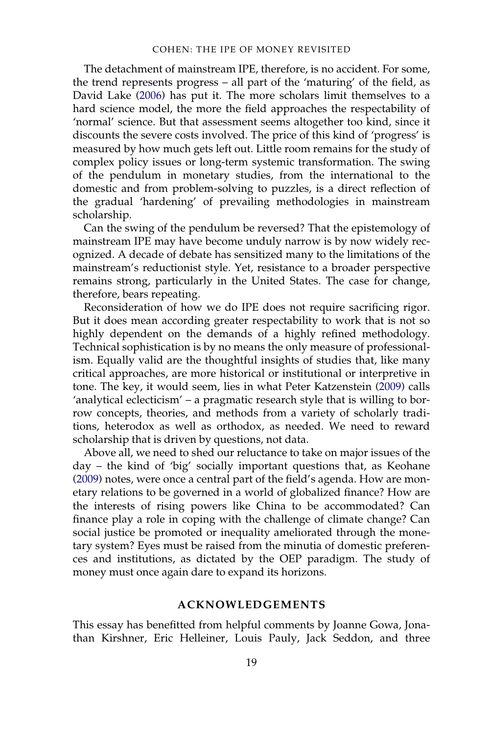The detachment of mainstream IPE, therefore, is no accident. For some, the trend represents progress – all part of the 'maturing' of the field, as David Lake [\(2006\)](#page-23-22) has put it. The more scholars limit themselves to a hard science model, the more the field approaches the respectability of 'normal' science. But that assessment seems altogether too kind, since it discounts the severe costs involved. The price of this kind of 'progress' is measured by how much gets left out. Little room remains for the study of complex policy issues or long-term systemic transformation. The swing of the pendulum in monetary studies, from the international to the domestic and from problem-solving to puzzles, is a direct reflection of the gradual 'hardening' of prevailing methodologies in mainstream scholarship.

Can the swing of the pendulum be reversed? That the epistemology of mainstream IPE may have become unduly narrow is by now widely recognized. A decade of debate has sensitized many to the limitations of the mainstream's reductionist style. Yet, resistance to a broader perspective remains strong, particularly in the United States. The case for change, therefore, bears repeating.

Reconsideration of how we do IPE does not require sacrificing rigor. But it does mean according greater respectability to work that is not so highly dependent on the demands of a highly refined methodology. Technical sophistication is by no means the only measure of professionalism. Equally valid are the thoughtful insights of studies that, like many critical approaches, are more historical or institutional or interpretive in tone. The key, it would seem, lies in what Peter Katzenstein [\(2009](#page-22-23)) calls 'analytical eclecticism' – a pragmatic research style that is willing to borrow concepts, theories, and methods from a variety of scholarly traditions, heterodox as well as orthodox, as needed. We need to reward scholarship that is driven by questions, not data.

Above all, we need to shed our reluctance to take on major issues of the day – the kind of 'big' socially important questions that, as Keohane [\(2009](#page-22-16)) notes, were once a central part of the field's agenda. How are monetary relations to be governed in a world of globalized finance? How are the interests of rising powers like China to be accommodated? Can finance play a role in coping with the challenge of climate change? Can social justice be promoted or inequality ameliorated through the monetary system? Eyes must be raised from the minutia of domestic preferences and institutions, as dictated by the OEP paradigm. The study of money must once again dare to expand its horizons.

#### ACKNOWLEDGEMENTS

This essay has benefitted from helpful comments by Joanne Gowa, Jonathan Kirshner, Eric Helleiner, Louis Pauly, Jack Seddon, and three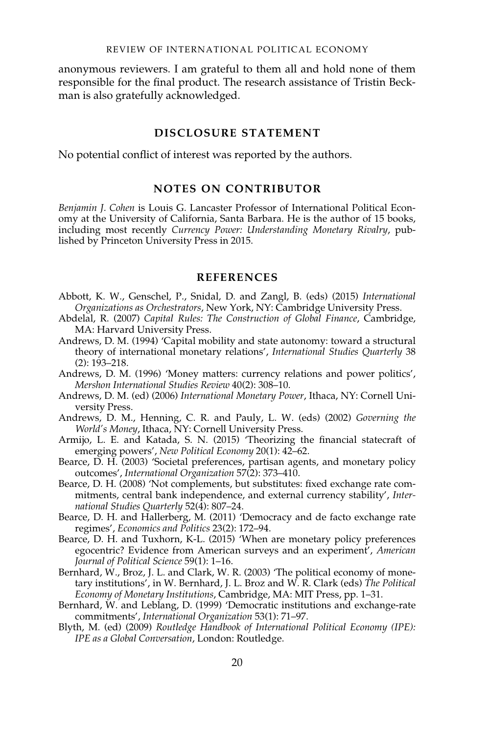anonymous reviewers. I am grateful to them all and hold none of them responsible for the final product. The research assistance of Tristin Beckman is also gratefully acknowledged.

### DISCLOSURE STATEMENT

No potential conflict of interest was reported by the authors.

## NOTES ON CONTRIBUTOR

Benjamin J. Cohen is Louis G. Lancaster Professor of International Political Economy at the University of California, Santa Barbara. He is the author of 15 books, including most recently Currency Power: Understanding Monetary Rivalry, published by Princeton University Press in 2015.

### **REFERENCES**

- <span id="page-20-9"></span>Abbott, K. W., Genschel, P., Snidal, D. and Zangl, B. (eds) (2015) International Organizations as Orchestrators, New York, NY: Cambridge University Press.
- <span id="page-20-7"></span>Abdelal, R. (2007) Capital Rules: The Construction of Global Finance, Cambridge, MA: Harvard University Press.
- <span id="page-20-0"></span>Andrews, D. M. (1994) 'Capital mobility and state autonomy: toward a structural theory of international monetary relations', International Studies Quarterly 38  $(2): 193 - 218.$
- <span id="page-20-11"></span>Andrews, D. M. (1996) 'Money matters: currency relations and power politics', Mershon International Studies Review 40(2): 308–10.
- <span id="page-20-10"></span>Andrews, D. M. (ed) (2006) International Monetary Power, Ithaca, NY: Cornell University Press.
- <span id="page-20-8"></span>Andrews, D. M., Henning, C. R. and Pauly, L. W. (eds) (2002) Governing the World's Money, Ithaca, NY: Cornell University Press.
- <span id="page-20-12"></span>Armijo, L. E. and Katada, S. N. (2015) 'Theorizing the financial statecraft of emerging powers', New Political Economy 20(1): 42–62.
- <span id="page-20-2"></span>Bearce, D. H. (2003) 'Societal preferences, partisan agents, and monetary policy outcomes', International Organization 57(2): 373–410.
- <span id="page-20-6"></span>Bearce, D. H. (2008) 'Not complements, but substitutes: fixed exchange rate commitments, central bank independence, and external currency stability', International Studies Quarterly 52(4): 807–24.
- <span id="page-20-3"></span>Bearce, D. H. and Hallerberg, M. (2011) 'Democracy and de facto exchange rate regimes', Economics and Politics 23(2): 172–94.
- <span id="page-20-1"></span>Bearce, D. H. and Tuxhorn, K-L. (2015) 'When are monetary policy preferences egocentric? Evidence from American surveys and an experiment', American Journal of Political Science 59(1): 1–16.
- <span id="page-20-5"></span>Bernhard, W., Broz, J. L. and Clark, W. R. (2003) 'The political economy of monetary institutions', in W. Bernhard, J. L. Broz and W. R. Clark (eds) The Political Economy of Monetary Institutions, Cambridge, MA: MIT Press, pp. 1–31.
- <span id="page-20-4"></span>Bernhard, W. and Leblang, D. (1999) 'Democratic institutions and exchange-rate commitments', International Organization 53(1): 71–97.
- <span id="page-20-13"></span>Blyth, M. (ed) (2009) Routledge Handbook of International Political Economy (IPE): IPE as a Global Conversation, London: Routledge.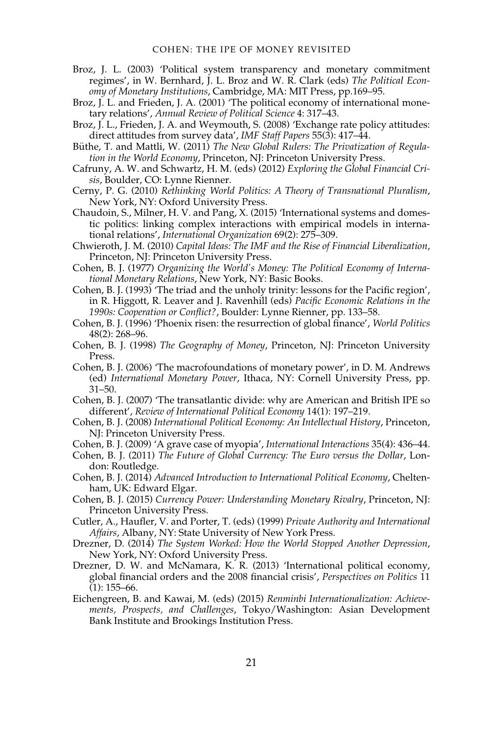- <span id="page-21-8"></span>Broz, J. L. (2003) 'Political system transparency and monetary commitment regimes', in W. Bernhard, J. L. Broz and W. R. Clark (eds) The Political Economy of Monetary Institutions, Cambridge, MA: MIT Press, pp.169–95.
- <span id="page-21-7"></span>Broz, J. L. and Frieden, J. A. (2001) 'The political economy of international monetary relations', Annual Review of Political Science 4: 317–43.
- <span id="page-21-6"></span>Broz, J. L., Frieden, J. A. and Weymouth, S. (2008) 'Exchange rate policy attitudes: direct attitudes from survey data', IMF Staff Papers 55(3): 417–44.
- <span id="page-21-12"></span>Büthe, T. and Mattli, W. (2011) The New Global Rulers: The Privatization of Regulation in the World Economy, Princeton, NJ: Princeton University Press.
- <span id="page-21-22"></span>Cafruny, A. W. and Schwartz, H. M. (eds) (2012) Exploring the Global Financial Crisis, Boulder, CO: Lynne Rienner.
- <span id="page-21-21"></span>Cerny, P. G. (2010) Rethinking World Politics: A Theory of Transnational Pluralism, New York, NY: Oxford University Press.
- <span id="page-21-5"></span>Chaudoin, S., Milner, H. V. and Pang, X. (2015) 'International systems and domestic politics: linking complex interactions with empirical models in international relations', International Organization 69(2): 275–309.
- <span id="page-21-9"></span>Chwieroth, J. M. (2010) Capital Ideas: The IMF and the Rise of Financial Liberalization, Princeton, NJ: Princeton University Press.
- <span id="page-21-1"></span>Cohen, B. J. (1977) Organizing the World's Money: The Political Economy of International Monetary Relations, New York, NY: Basic Books.
- <span id="page-21-4"></span>Cohen, B. J. (1993) 'The triad and the unholy trinity: lessons for the Pacific region', in R. Higgott, R. Leaver and J. Ravenhill (eds) Pacific Economic Relations in the 1990s: Cooperation or Conflict?, Boulder: Lynne Rienner, pp. 133–58.
- <span id="page-21-0"></span>Cohen, B. J. (1996) 'Phoenix risen: the resurrection of global finance', World Politics 48(2): 268–96.
- <span id="page-21-16"></span>Cohen, B. J. (1998) The Geography of Money, Princeton, NJ: Princeton University Press.
- <span id="page-21-13"></span>Cohen, B. J. (2006) 'The macrofoundations of monetary power', in D. M. Andrews (ed) International Monetary Power, Ithaca, NY: Cornell University Press, pp. 31–50.
- <span id="page-21-18"></span>Cohen, B. J. (2007) 'The transatlantic divide: why are American and British IPE so different', Review of International Political Economy 14(1): 197–219.
- <span id="page-21-19"></span>Cohen, B. J. (2008) International Political Economy: An Intellectual History, Princeton, NJ: Princeton University Press.
- <span id="page-21-3"></span>Cohen, B. J. (2009) 'A grave case of myopia', International Interactions 35(4): 436–44.
- <span id="page-21-14"></span>Cohen, B. J. (2011) The Future of Global Currency: The Euro versus the Dollar, London: Routledge.
- <span id="page-21-20"></span>Cohen, B. J. (2014) Advanced Introduction to International Political Economy, Cheltenham, UK: Edward Elgar.
- <span id="page-21-17"></span>Cohen, B. J. (2015) Currency Power: Understanding Monetary Rivalry, Princeton, NJ: Princeton University Press.
- <span id="page-21-11"></span>Cutler, A., Haufler, V. and Porter, T. (eds) (1999) Private Authority and International Affairs, Albany, NY: State University of New York Press.
- <span id="page-21-10"></span>Drezner, D. (2014) The System Worked: How the World Stopped Another Depression, New York, NY: Oxford University Press.
- <span id="page-21-2"></span>Drezner, D. W. and McNamara, K. R. (2013) 'International political economy, global financial orders and the 2008 financial crisis', Perspectives on Politics 11 (1): 155–66.
- <span id="page-21-15"></span>Eichengreen, B. and Kawai, M. (eds) (2015) Renminbi Internationalization: Achievements, Prospects, and Challenges, Tokyo/Washington: Asian Development Bank Institute and Brookings Institution Press.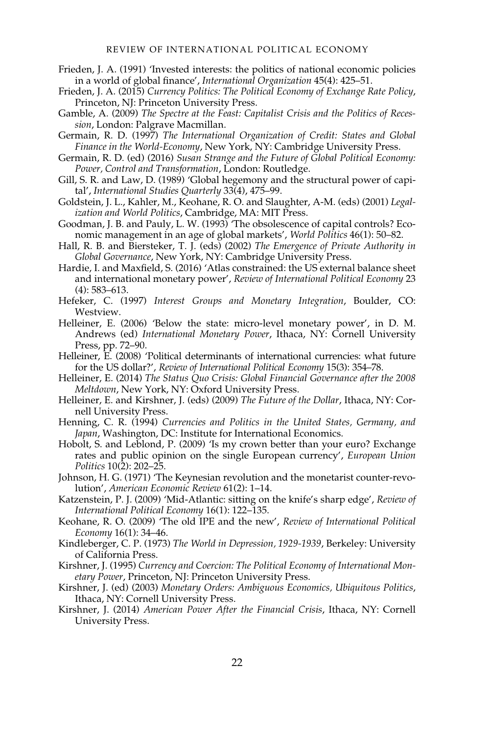- <span id="page-22-2"></span>Frieden, J. A. (1991) 'Invested interests: the politics of national economic policies in a world of global finance', International Organization 45(4): 425–51.
- <span id="page-22-5"></span>Frieden, J. A. (2015) Currency Politics: The Political Economy of Exchange Rate Policy, Princeton, NJ: Princeton University Press.
- <span id="page-22-21"></span>Gamble, A. (2009) The Spectre at the Feast: Capitalist Crisis and the Politics of Recession, London: Palgrave Macmillan.
- <span id="page-22-17"></span>Germain, R. D. (1997) The International Organization of Credit: States and Global Finance in the World-Economy, New York, NY: Cambridge University Press.
- <span id="page-22-20"></span>Germain, R. D. (ed) (2016) Susan Strange and the Future of Global Political Economy: Power, Control and Transformation, London: Routledge.
- <span id="page-22-18"></span>Gill, S. R. and Law, D. (1989) 'Global hegemony and the structural power of capital', International Studies Quarterly 33(4), 475–99.
- <span id="page-22-9"></span>Goldstein, J. L., Kahler, M., Keohane, R. O. and Slaughter, A-M. (eds) (2001) Legalization and World Politics, Cambridge, MA: MIT Press.
- <span id="page-22-1"></span>Goodman, J. B. and Pauly, L. W. (1993) 'The obsolescence of capital controls? Economic management in an age of global markets', World Politics 46(1): 50–82.
- <span id="page-22-10"></span>Hall, R. B. and Biersteker, T. J. (eds) (2002) The Emergence of Private Authority in Global Governance, New York, NY: Cambridge University Press.
- <span id="page-22-12"></span>Hardie, I. and Maxfield, S. (2016) 'Atlas constrained: the US external balance sheet and international monetary power', Review of International Political Economy 23 (4): 583–613.
- <span id="page-22-3"></span>Hefeker, C. (1997) Interest Groups and Monetary Integration, Boulder, CO: Westview.
- <span id="page-22-19"></span>Helleiner, E. (2006) 'Below the state: micro-level monetary power', in D. M. Andrews (ed) International Monetary Power, Ithaca, NY: Cornell University Press, pp. 72–90.
- <span id="page-22-14"></span>Helleiner, E. (2008) 'Political determinants of international currencies: what future for the US dollar?', Review of International Political Economy 15(3): 354–78.
- <span id="page-22-7"></span>Helleiner, E. (2014) The Status Quo Crisis: Global Financial Governance after the 2008 Meltdown, New York, NY: Oxford University Press.
- <span id="page-22-13"></span>Helleiner, E. and Kirshner, J. (eds) (2009) The Future of the Dollar, Ithaca, NY: Cornell University Press.
- <span id="page-22-4"></span>Henning, C. R. (1994) Currencies and Politics in the United States, Germany, and Japan, Washington, DC: Institute for International Economics.
- <span id="page-22-6"></span>Hobolt, S. and Leblond, P. (2009) 'Is my crown better than your euro? Exchange rates and public opinion on the single European currency', European Union Politics 10(2): 202–25.
- <span id="page-22-22"></span>Johnson, H. G. (1971) 'The Keynesian revolution and the monetarist counter-revolution', American Economic Review 61(2): 1–14.
- <span id="page-22-23"></span>Katzenstein, P. J. (2009) 'Mid-Atlantic: sitting on the knife's sharp edge', Review of International Political Economy 16(1): 122–135.
- <span id="page-22-16"></span>Keohane, R. O. (2009) 'The old IPE and the new', Review of International Political Economy 16(1): 34–46.
- <span id="page-22-0"></span>Kindleberger, C. P. (1973) The World in Depression, 1929-1939, Berkeley: University of California Press.
- <span id="page-22-11"></span>Kirshner, J. (1995) Currency and Coercion: The Political Economy of International Monetary Power, Princeton, NJ: Princeton University Press.
- <span id="page-22-8"></span>Kirshner, J. (ed) (2003) Monetary Orders: Ambiguous Economics, Ubiquitous Politics, Ithaca, NY: Cornell University Press.
- <span id="page-22-15"></span>Kirshner, J. (2014) American Power After the Financial Crisis, Ithaca, NY: Cornell University Press.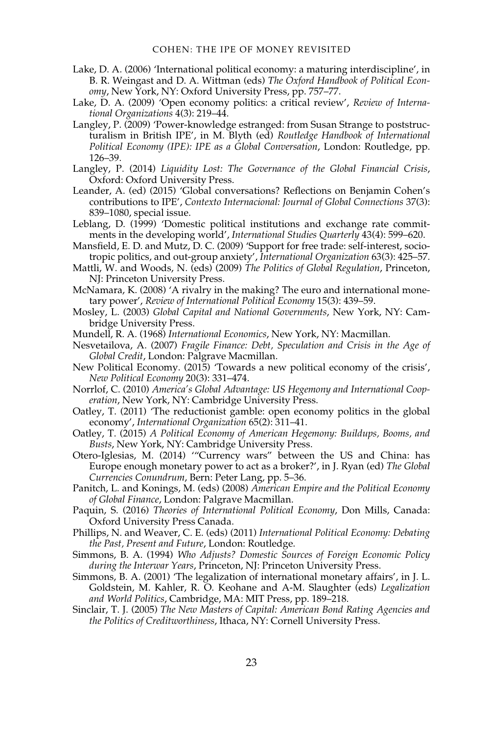- <span id="page-23-22"></span>Lake, D. A. (2006) 'International political economy: a maturing interdiscipline', in B. R. Weingast and D. A. Wittman (eds) The Oxford Handbook of Political Economy, New York, NY: Oxford University Press, pp. 757–77.
- <span id="page-23-1"></span>Lake, D. A. (2009) 'Open economy politics: a critical review', Review of International Organizations 4(3): 219–44.
- <span id="page-23-18"></span>Langley, P. (2009) 'Power-knowledge estranged: from Susan Strange to poststructuralism in British IPE', in M. Blyth (ed) Routledge Handbook of International Political Economy (IPE): IPE as a Global Conversation, London: Routledge, pp. 126–39.
- <span id="page-23-20"></span>Langley, P. (2014) Liquidity Lost: The Governance of the Global Financial Crisis, Oxford: Oxford University Press.
- <span id="page-23-14"></span>Leander, A. (ed) (2015) 'Global conversations? Reflections on Benjamin Cohen's contributions to IPE', Contexto Internacional: Journal of Global Connections 37(3): 839–1080, special issue.
- <span id="page-23-5"></span>Leblang, D. (1999) 'Domestic political institutions and exchange rate commitments in the developing world', International Studies Quarterly 43(4): 599–620.
- <span id="page-23-3"></span>Mansfield, E. D. and Mutz, D. C. (2009) 'Support for free trade: self-interest, sociotropic politics, and out-group anxiety', International Organization 63(3): 425–57.
- <span id="page-23-9"></span>Mattli, W. and Woods, N. (eds) (2009) The Politics of Global Regulation, Princeton, NJ: Princeton University Press.
- <span id="page-23-11"></span>McNamara, K. (2008) 'A rivalry in the making? The euro and international monetary power', Review of International Political Economy 15(3): 439–59.
- <span id="page-23-6"></span>Mosley, L. (2003) Global Capital and National Governments, New York, NY: Cambridge University Press.
- <span id="page-23-0"></span>Mundell, R. A. (1968) International Economics, New York, NY: Macmillan.
- <span id="page-23-19"></span>Nesvetailova, A. (2007) Fragile Finance: Debt, Speculation and Crisis in the Age of Global Credit, London: Palgrave Macmillan.
- <span id="page-23-21"></span>New Political Economy. (2015) 'Towards a new political economy of the crisis', New Political Economy 20(3): 331–474.
- <span id="page-23-12"></span>Norrlof, C. (2010) America's Global Advantage: US Hegemony and International Cooperation, New York, NY: Cambridge University Press.
- <span id="page-23-2"></span>Oatley, T. (2011) 'The reductionist gamble: open economy politics in the global economy', International Organization 65(2): 311–41.
- <span id="page-23-13"></span>Oatley, T. (2015) A Political Economy of American Hegemony: Buildups, Booms, and Busts, New York, NY: Cambridge University Press.
- <span id="page-23-10"></span>Otero-Iglesias, M. (2014) '"Currency wars" between the US and China: has Europe enough monetary power to act as a broker?', in J. Ryan (ed) The Global Currencies Conundrum, Bern: Peter Lang, pp. 5–36.
- <span id="page-23-17"></span>Panitch, L. and Konings, M. (eds) (2008) American Empire and the Political Economy of Global Finance, London: Palgrave Macmillan.
- <span id="page-23-16"></span>Paquin, S. (2016) Theories of International Political Economy, Don Mills, Canada: Oxford University Press Canada.
- <span id="page-23-15"></span>Phillips, N. and Weaver, C. E. (eds) (2011) International Political Economy: Debating the Past, Present and Future, London: Routledge.
- <span id="page-23-4"></span>Simmons, B. A. (1994) Who Adjusts? Domestic Sources of Foreign Economic Policy during the Interwar Years, Princeton, NJ: Princeton University Press.
- <span id="page-23-7"></span>Simmons, B. A. (2001) 'The legalization of international monetary affairs', in J. L. Goldstein, M. Kahler, R. O. Keohane and A-M. Slaughter (eds) Legalization and World Politics, Cambridge, MA: MIT Press, pp. 189–218.
- <span id="page-23-8"></span>Sinclair, T. J. (2005) The New Masters of Capital: American Bond Rating Agencies and the Politics of Creditworthiness, Ithaca, NY: Cornell University Press.